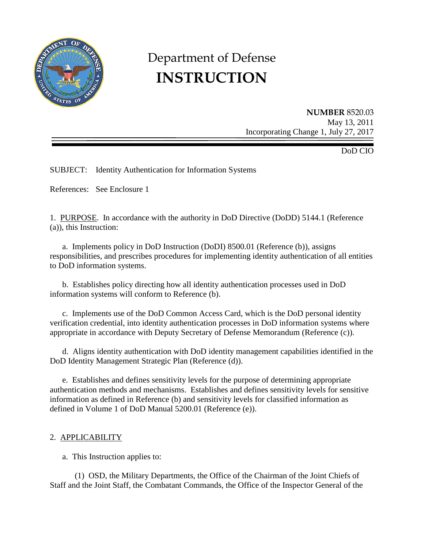

# Department of Defense **INSTRUCTION**

**NUMBER** 8520.03 May 13, 2011 Incorporating Change 1, July 27, 2017

DoD CIO

SUBJECT: Identity Authentication for Information Systems

References: See Enclosure 1

1. PURPOSE. In accordance with the authority in DoD Directive (DoDD) 5144.1 (Reference (a)), this Instruction:

a. Implements policy in DoD Instruction (DoDI) 8500.01 (Reference (b)), assigns responsibilities, and prescribes procedures for implementing identity authentication of all entities to DoD information systems.

 b. Establishes policy directing how all identity authentication processes used in DoD information systems will conform to Reference (b).

c. Implements use of the DoD Common Access Card, which is the DoD personal identity verification credential, into identity authentication processes in DoD information systems where appropriate in accordance with Deputy Secretary of Defense Memorandum (Reference (c)).

 d. Aligns identity authentication with DoD identity management capabilities identified in the DoD Identity Management Strategic Plan (Reference (d)).

e. Establishes and defines sensitivity levels for the purpose of determining appropriate authentication methods and mechanisms. Establishes and defines sensitivity levels for sensitive information as defined in Reference (b) and sensitivity levels for classified information as defined in Volume 1 of DoD Manual 5200.01 (Reference (e)).

## 2. APPLICABILITY

a. This Instruction applies to:

 (1) OSD, the Military Departments, the Office of the Chairman of the Joint Chiefs of Staff and the Joint Staff, the Combatant Commands, the Office of the Inspector General of the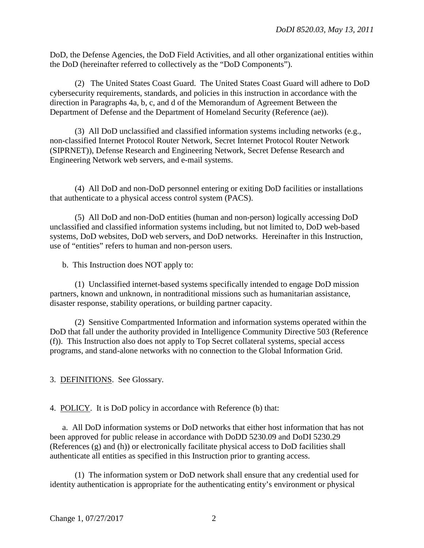DoD, the Defense Agencies, the DoD Field Activities, and all other organizational entities within the DoD (hereinafter referred to collectively as the "DoD Components").

 (2) The United States Coast Guard. The United States Coast Guard will adhere to DoD cybersecurity requirements, standards, and policies in this instruction in accordance with the direction in Paragraphs 4a, b, c, and d of the Memorandum of Agreement Between the Department of Defense and the Department of Homeland Security (Reference (ae)).

 (3) All DoD unclassified and classified information systems including networks (e.g., non-classified Internet Protocol Router Network, Secret Internet Protocol Router Network (SIPRNET)), Defense Research and Engineering Network, Secret Defense Research and Engineering Network web servers, and e-mail systems.

 (4) All DoD and non-DoD personnel entering or exiting DoD facilities or installations that authenticate to a physical access control system (PACS).

 (5) All DoD and non-DoD entities (human and non-person) logically accessing DoD unclassified and classified information systems including, but not limited to, DoD web-based systems, DoD websites, DoD web servers, and DoD networks. Hereinafter in this Instruction, use of "entities" refers to human and non-person users.

b. This Instruction does NOT apply to:

(1) Unclassified internet-based systems specifically intended to engage DoD mission partners, known and unknown, in nontraditional missions such as humanitarian assistance, disaster response, stability operations, or building partner capacity.

(2) Sensitive Compartmented Information and information systems operated within the DoD that fall under the authority provided in Intelligence Community Directive 503 (Reference (f)). This Instruction also does not apply to Top Secret collateral systems, special access programs, and stand-alone networks with no connection to the Global Information Grid.

3. DEFINITIONS. See Glossary.

4. POLICY. It is DoD policy in accordance with Reference (b) that:

a. All DoD information systems or DoD networks that either host information that has not been approved for public release in accordance with DoDD 5230.09 and DoDI 5230.29 (References (g) and (h)) or electronically facilitate physical access to DoD facilities shall authenticate all entities as specified in this Instruction prior to granting access.

 (1) The information system or DoD network shall ensure that any credential used for identity authentication is appropriate for the authenticating entity's environment or physical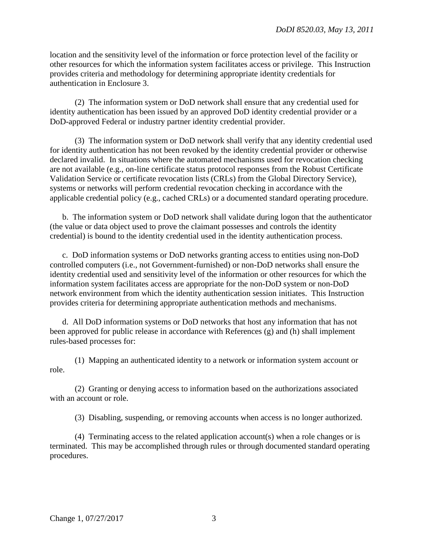location and the sensitivity level of the information or force protection level of the facility or other resources for which the information system facilitates access or privilege. This Instruction provides criteria and methodology for determining appropriate identity credentials for authentication in Enclosure 3.

 (2) The information system or DoD network shall ensure that any credential used for identity authentication has been issued by an approved DoD identity credential provider or a DoD-approved Federal or industry partner identity credential provider.

 (3) The information system or DoD network shall verify that any identity credential used for identity authentication has not been revoked by the identity credential provider or otherwise declared invalid. In situations where the automated mechanisms used for revocation checking are not available (e.g., on-line certificate status protocol responses from the Robust Certificate Validation Service or certificate revocation lists (CRLs) from the Global Directory Service), systems or networks will perform credential revocation checking in accordance with the applicable credential policy (e.g., cached CRLs) or a documented standard operating procedure.

 b. The information system or DoD network shall validate during logon that the authenticator (the value or data object used to prove the claimant possesses and controls the identity credential) is bound to the identity credential used in the identity authentication process.

c. DoD information systems or DoD networks granting access to entities using non-DoD controlled computers (i.e., not Government-furnished) or non-DoD networks shall ensure the identity credential used and sensitivity level of the information or other resources for which the information system facilitates access are appropriate for the non-DoD system or non-DoD network environment from which the identity authentication session initiates. This Instruction provides criteria for determining appropriate authentication methods and mechanisms.

 d. All DoD information systems or DoD networks that host any information that has not been approved for public release in accordance with References (g) and (h) shall implement rules-based processes for:

(1) Mapping an authenticated identity to a network or information system account or role.

(2) Granting or denying access to information based on the authorizations associated with an account or role.

(3) Disabling, suspending, or removing accounts when access is no longer authorized.

(4) Terminating access to the related application account(s) when a role changes or is terminated. This may be accomplished through rules or through documented standard operating procedures.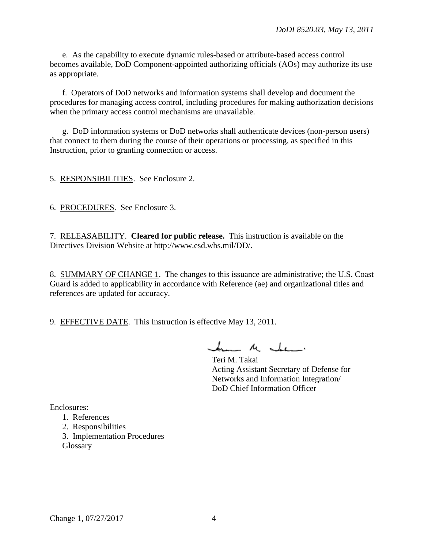e. As the capability to execute dynamic rules-based or attribute-based access control becomes available, DoD Component-appointed authorizing officials (AOs) may authorize its use as appropriate.

f. Operators of DoD networks and information systems shall develop and document the procedures for managing access control, including procedures for making authorization decisions when the primary access control mechanisms are unavailable.

 g. DoD information systems or DoD networks shall authenticate devices (non-person users) that connect to them during the course of their operations or processing, as specified in this Instruction, prior to granting connection or access.

5. RESPONSIBILITIES. See Enclosure 2.

6. PROCEDURES. See Enclosure 3.

7. RELEASABILITY. **Cleared for public release.** This instruction is available on the Directives Division Website at http://www.esd.whs.mil/DD/.

8. SUMMARY OF CHANGE 1. The changes to this issuance are administrative; the U.S. Coast Guard is added to applicability in accordance with Reference (ae) and organizational titles and references are updated for accuracy.

9. EFFECTIVE DATE. This Instruction is effective May 13, 2011.

 $\frac{1}{2}$ 

 Teri M. Takai Acting Assistant Secretary of Defense for Networks and Information Integration/ DoD Chief Information Officer

Enclosures:

- 1. References
- 2. Responsibilities
- 3. Implementation Procedures Glossary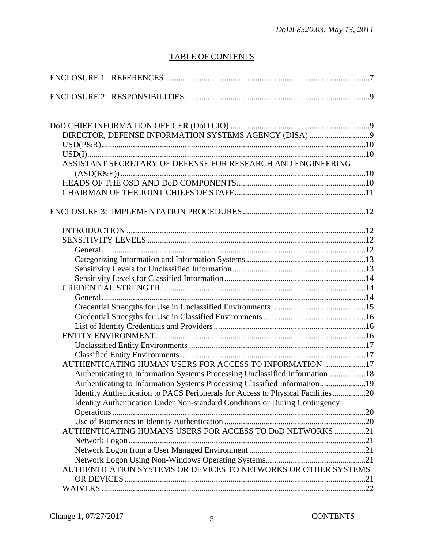# TABLE OF CONTENTS

| ASSISTANT SECRETARY OF DEFENSE FOR RESEARCH AND ENGINEERING                     |  |
|---------------------------------------------------------------------------------|--|
|                                                                                 |  |
|                                                                                 |  |
|                                                                                 |  |
|                                                                                 |  |
|                                                                                 |  |
|                                                                                 |  |
|                                                                                 |  |
|                                                                                 |  |
|                                                                                 |  |
|                                                                                 |  |
|                                                                                 |  |
|                                                                                 |  |
|                                                                                 |  |
|                                                                                 |  |
|                                                                                 |  |
|                                                                                 |  |
|                                                                                 |  |
|                                                                                 |  |
|                                                                                 |  |
| AUTHENTICATING HUMAN USERS FOR ACCESS TO INFORMATION 17                         |  |
| Authenticating to Information Systems Processing Unclassified Information18     |  |
| Authenticating to Information Systems Processing Classified Information19       |  |
| Identity Authentication to PACS Peripherals for Access to Physical Facilities20 |  |
| Identity Authentication Under Non-standard Conditions or During Contingency     |  |
|                                                                                 |  |
|                                                                                 |  |
| AUTHENTICATING HUMANS USERS FOR ACCESS TO DoD NETWORKS 21                       |  |
|                                                                                 |  |
|                                                                                 |  |
|                                                                                 |  |
| AUTHENTICATION SYSTEMS OR DEVICES TO NETWORKS OR OTHER SYSTEMS                  |  |
|                                                                                 |  |
|                                                                                 |  |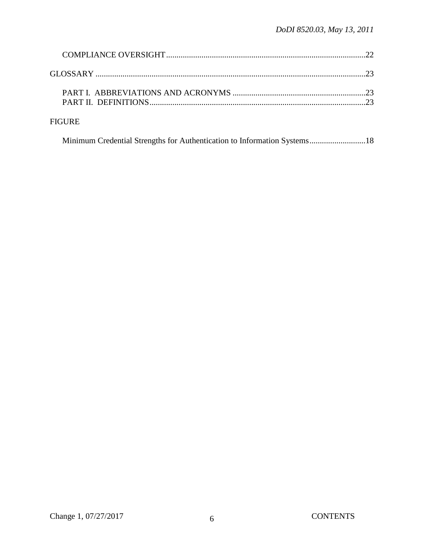|               | 23 |
|---------------|----|
|               | 23 |
| <b>FIGURE</b> |    |

Minimum Credential Strengths for Authentication to Information Systems ...........................18

Change 1, 07/27/2017 6 CONTENTS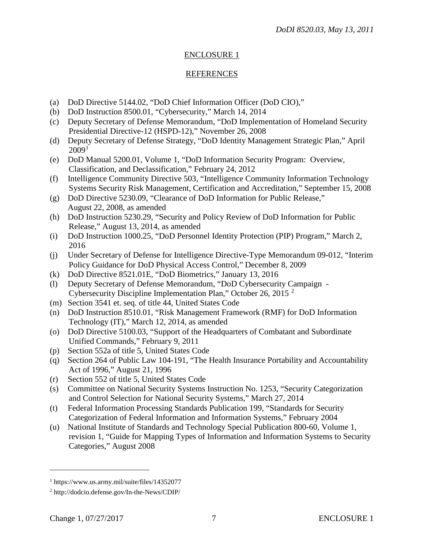# ENCLOSURE 1

## REFERENCES

- (a) DoD Directive 5144.02, "DoD Chief Information Officer (DoD CIO),"
- (b) DoD Instruction 8500.01, "Cybersecurity," March 14, 2014
- (c) Deputy Secretary of Defense Memorandum, "DoD Implementation of Homeland Security Presidential Directive-12 (HSPD-12)," November 26, 2008
- (d) Deputy Secretary of Defense Strategy, "DoD Identity Management Strategic Plan," April  $2009<sup>1</sup>$  $2009<sup>1</sup>$  $2009<sup>1</sup>$
- (e) DoD Manual 5200.01, Volume 1, "DoD Information Security Program: Overview, Classification, and Declassification," February 24, 2012
- (f) Intelligence Community Directive 503, "Intelligence Community Information Technology Systems Security Risk Management, Certification and Accreditation," September 15, 2008
- (g) DoD Directive 5230.09, "Clearance of DoD Information for Public Release," August 22, 2008, as amended
- (h) DoD Instruction 5230.29, "Security and Policy Review of DoD Information for Public Release," August 13, 2014, as amended
- (i) DoD Instruction 1000.25, "DoD Personnel Identity Protection (PIP) Program," March 2, 2016
- (j) Under Secretary of Defense for Intelligence Directive-Type Memorandum 09-012, "Interim Policy Guidance for DoD Physical Access Control," December 8, 2009
- (k) DoD Directive 8521.01E, "DoD Biometrics," January 13, 2016
- (l) Deputy Secretary of Defense Memorandum, "DoD Cybersecurity Campaign Cybersecurity Discipline Implementation Plan," October 26, 2015 [2](#page-6-1)
- (m) Section 3541 et. seq. of title 44, United States Code
- (n) DoD Instruction 8510.01, "Risk Management Framework (RMF) for DoD Information Technology (IT)," March 12, 2014, as amended
- (o) DoD Directive 5100.03, "Support of the Headquarters of Combatant and Subordinate Unified Commands," February 9, 2011
- (p) Section 552a of title 5, United States Code
- (q) Section 264 of Public Law 104-191, "The Health Insurance Portability and Accountability Act of 1996," August 21, 1996
- (r) Section 552 of title 5, United States Code
- (s) Committee on National Security Systems Instruction No. 1253, "Security Categorization and Control Selection for National Security Systems," March 27, 2014
- (t) Federal Information Processing Standards Publication 199, "Standards for Security Categorization of Federal Information and Information Systems," February 2004
- (u) National Institute of Standards and Technology Special Publication 800-60, Volume 1, revision 1, "Guide for Mapping Types of Information and Information Systems to Security Categories," August 2008

 $\overline{a}$ 

<span id="page-6-0"></span><sup>1</sup> https://www.us.army.mil/suite/files/14352077

<span id="page-6-1"></span><sup>2</sup> http://dodcio.defense.gov/In-the-News/CDIP/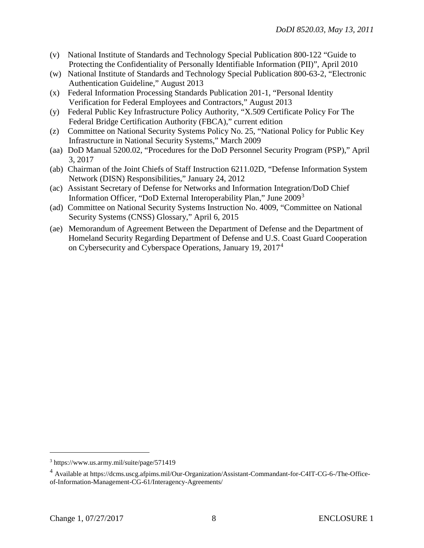- (v) National Institute of Standards and Technology Special Publication 800-122 "Guide to Protecting the Confidentiality of Personally Identifiable Information (PII)", April 2010
- (w) National Institute of Standards and Technology Special Publication 800-63-2, "Electronic Authentication Guideline," August 2013
- (x) Federal Information Processing Standards Publication 201-1, "Personal Identity Verification for Federal Employees and Contractors," August 2013
- (y) Federal Public Key Infrastructure Policy Authority, "X.509 Certificate Policy For The Federal Bridge Certification Authority (FBCA)," current edition
- (z) Committee on National Security Systems Policy No. 25, "National Policy for Public Key Infrastructure in National Security Systems," March 2009
- (aa) DoD Manual 5200.02, "Procedures for the DoD Personnel Security Program (PSP)," April 3, 2017
- (ab) Chairman of the Joint Chiefs of Staff Instruction 6211.02D, "Defense Information System Network (DISN) Responsibilities," January 24, 2012
- (ac) Assistant Secretary of Defense for Networks and Information Integration/DoD Chief Information Officer, "DoD External Interoperability Plan," June 2009<sup>[3](#page-7-0)</sup>
- (ad) Committee on National Security Systems Instruction No. 4009, "Committee on National Security Systems (CNSS) Glossary," April 6, 2015
- (ae) Memorandum of Agreement Between the Department of Defense and the Department of Homeland Security Regarding Department of Defense and U.S. Coast Guard Cooperation on Cybersecurity and Cyberspace Operations, January 19, 2017[4](#page-7-1)

 $\overline{a}$ 

<span id="page-7-0"></span><sup>3</sup> https://www.us.army.mil/suite/page/571419

<span id="page-7-1"></span><sup>4</sup> Available at https://dcms.uscg.afpims.mil/Our-Organization/Assistant-Commandant-for-C4IT-CG-6-/The-Officeof-Information-Management-CG-61/Interagency-Agreements/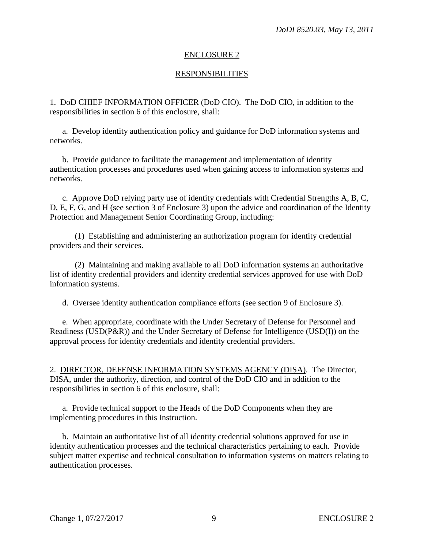#### ENCLOSURE 2

#### RESPONSIBILITIES

1. DoD CHIEF INFORMATION OFFICER (DoD CIO). The DoD CIO, in addition to the responsibilities in section 6 of this enclosure, shall:

a. Develop identity authentication policy and guidance for DoD information systems and networks.

 b. Provide guidance to facilitate the management and implementation of identity authentication processes and procedures used when gaining access to information systems and networks.

 c. Approve DoD relying party use of identity credentials with Credential Strengths A, B, C, D, E, F, G, and H (see section 3 of Enclosure 3) upon the advice and coordination of the Identity Protection and Management Senior Coordinating Group, including:

 (1) Establishing and administering an authorization program for identity credential providers and their services.

 (2) Maintaining and making available to all DoD information systems an authoritative list of identity credential providers and identity credential services approved for use with DoD information systems.

d. Oversee identity authentication compliance efforts (see section 9 of Enclosure 3).

 e. When appropriate, coordinate with the Under Secretary of Defense for Personnel and Readiness (USD(P&R)) and the Under Secretary of Defense for Intelligence (USD(I)) on the approval process for identity credentials and identity credential providers.

2. DIRECTOR, DEFENSE INFORMATION SYSTEMS AGENCY (DISA). The Director, DISA, under the authority, direction, and control of the DoD CIO and in addition to the responsibilities in section 6 of this enclosure, shall:

 a. Provide technical support to the Heads of the DoD Components when they are implementing procedures in this Instruction.

b. Maintain an authoritative list of all identity credential solutions approved for use in identity authentication processes and the technical characteristics pertaining to each. Provide subject matter expertise and technical consultation to information systems on matters relating to authentication processes.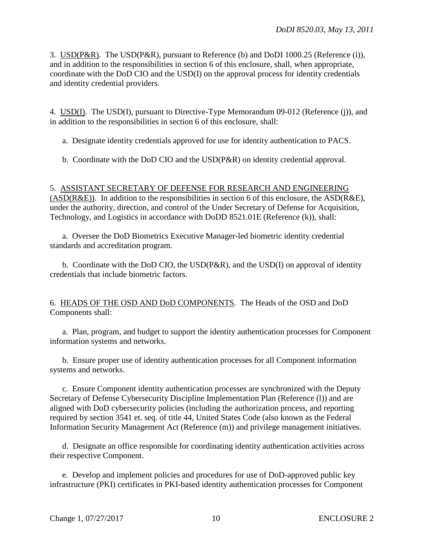3. USD(P&R). The USD(P&R), pursuant to Reference (b) and DoDI 1000.25 (Reference (i)), and in addition to the responsibilities in section 6 of this enclosure, shall, when appropriate, coordinate with the DoD CIO and the USD(I) on the approval process for identity credentials and identity credential providers.

4. USD(I). The USD(I), pursuant to Directive-Type Memorandum 09-012 (Reference (j)), and in addition to the responsibilities in section 6 of this enclosure, shall:

a. Designate identity credentials approved for use for identity authentication to PACS.

b. Coordinate with the DoD CIO and the USD(P&R) on identity credential approval.

# 5. ASSISTANT SECRETARY OF DEFENSE FOR RESEARCH AND ENGINEERING

 $(ASD(R&E))$ . In addition to the responsibilities in section 6 of this enclosure, the  $ASD(R&E)$ , under the authority, direction, and control of the Under Secretary of Defense for Acquisition, Technology, and Logistics in accordance with DoDD 8521.01E (Reference (k)), shall:

a. Oversee the DoD Biometrics Executive Manager-led biometric identity credential standards and accreditation program.

 b. Coordinate with the DoD CIO, the USD(P&R), and the USD(I) on approval of identity credentials that include biometric factors.

6. HEADS OF THE OSD AND DoD COMPONENTS. The Heads of the OSD and DoD Components shall:

 a. Plan, program, and budget to support the identity authentication processes for Component information systems and networks.

 b. Ensure proper use of identity authentication processes for all Component information systems and networks.

c. Ensure Component identity authentication processes are synchronized with the Deputy Secretary of Defense Cybersecurity Discipline Implementation Plan (Reference (l)) and are aligned with DoD cybersecurity policies (including the authorization process, and reporting required by section 3541 et. seq. of title 44, United States Code (also known as the Federal Information Security Management Act (Reference (m)) and privilege management initiatives.

d. Designate an office responsible for coordinating identity authentication activities across their respective Component.

 e. Develop and implement policies and procedures for use of DoD-approved public key infrastructure (PKI) certificates in PKI-based identity authentication processes for Component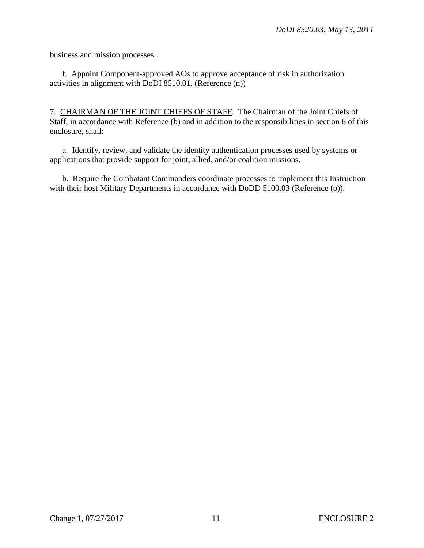business and mission processes.

 f. Appoint Component-approved AOs to approve acceptance of risk in authorization activities in alignment with DoDI 8510.01, (Reference (n))

7. CHAIRMAN OF THE JOINT CHIEFS OF STAFF. The Chairman of the Joint Chiefs of Staff, in accordance with Reference (b) and in addition to the responsibilities in section 6 of this enclosure, shall:

a. Identify, review, and validate the identity authentication processes used by systems or applications that provide support for joint, allied, and/or coalition missions.

 b. Require the Combatant Commanders coordinate processes to implement this Instruction with their host Military Departments in accordance with DoDD 5100.03 (Reference (o)).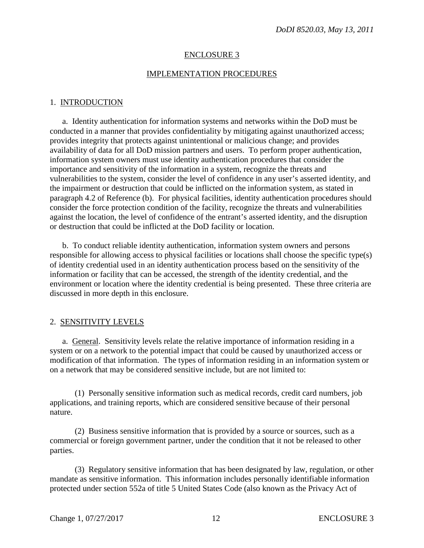## ENCLOSURE 3

## IMPLEMENTATION PROCEDURES

#### 1. INTRODUCTION

a. Identity authentication for information systems and networks within the DoD must be conducted in a manner that provides confidentiality by mitigating against unauthorized access; provides integrity that protects against unintentional or malicious change; and provides availability of data for all DoD mission partners and users. To perform proper authentication, information system owners must use identity authentication procedures that consider the importance and sensitivity of the information in a system, recognize the threats and vulnerabilities to the system, consider the level of confidence in any user's asserted identity, and the impairment or destruction that could be inflicted on the information system, as stated in paragraph 4.2 of Reference (b). For physical facilities, identity authentication procedures should consider the force protection condition of the facility, recognize the threats and vulnerabilities against the location, the level of confidence of the entrant's asserted identity, and the disruption or destruction that could be inflicted at the DoD facility or location.

 b. To conduct reliable identity authentication, information system owners and persons responsible for allowing access to physical facilities or locations shall choose the specific type(s) of identity credential used in an identity authentication process based on the sensitivity of the information or facility that can be accessed, the strength of the identity credential, and the environment or location where the identity credential is being presented. These three criteria are discussed in more depth in this enclosure.

## 2. SENSITIVITY LEVELS

a. General. Sensitivity levels relate the relative importance of information residing in a system or on a network to the potential impact that could be caused by unauthorized access or modification of that information. The types of information residing in an information system or on a network that may be considered sensitive include, but are not limited to:

 (1) Personally sensitive information such as medical records, credit card numbers, job applications, and training reports, which are considered sensitive because of their personal nature.

 (2) Business sensitive information that is provided by a source or sources, such as a commercial or foreign government partner, under the condition that it not be released to other parties.

 (3) Regulatory sensitive information that has been designated by law, regulation, or other mandate as sensitive information. This information includes personally identifiable information protected under section 552a of title 5 United States Code (also known as the Privacy Act of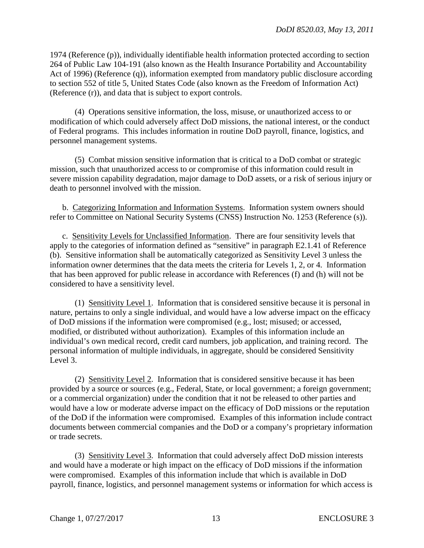1974 (Reference (p)), individually identifiable health information protected according to section 264 of Public Law 104-191 (also known as the Health Insurance Portability and Accountability Act of 1996) (Reference (q)), information exempted from mandatory public disclosure according to section 552 of title 5, United States Code (also known as the Freedom of Information Act) (Reference (r)), and data that is subject to export controls.

 (4) Operations sensitive information, the loss, misuse, or unauthorized access to or modification of which could adversely affect DoD missions, the national interest, or the conduct of Federal programs. This includes information in routine DoD payroll, finance, logistics, and personnel management systems.

 (5) Combat mission sensitive information that is critical to a DoD combat or strategic mission, such that unauthorized access to or compromise of this information could result in severe mission capability degradation, major damage to DoD assets, or a risk of serious injury or death to personnel involved with the mission.

 b. Categorizing Information and Information Systems. Information system owners should refer to Committee on National Security Systems (CNSS) Instruction No. 1253 (Reference (s)).

c. Sensitivity Levels for Unclassified Information. There are four sensitivity levels that apply to the categories of information defined as "sensitive" in paragraph E2.1.41 of Reference (b). Sensitive information shall be automatically categorized as Sensitivity Level 3 unless the information owner determines that the data meets the criteria for Levels 1, 2, or 4. Information that has been approved for public release in accordance with References (f) and (h) will not be considered to have a sensitivity level.

 (1) Sensitivity Level 1. Information that is considered sensitive because it is personal in nature, pertains to only a single individual, and would have a low adverse impact on the efficacy of DoD missions if the information were compromised (e.g., lost; misused; or accessed, modified, or distributed without authorization). Examples of this information include an individual's own medical record, credit card numbers, job application, and training record. The personal information of multiple individuals, in aggregate, should be considered Sensitivity Level 3.

 (2) Sensitivity Level 2. Information that is considered sensitive because it has been provided by a source or sources (e.g., Federal, State, or local government; a foreign government; or a commercial organization) under the condition that it not be released to other parties and would have a low or moderate adverse impact on the efficacy of DoD missions or the reputation of the DoD if the information were compromised. Examples of this information include contract documents between commercial companies and the DoD or a company's proprietary information or trade secrets.

 (3) Sensitivity Level 3. Information that could adversely affect DoD mission interests and would have a moderate or high impact on the efficacy of DoD missions if the information were compromised. Examples of this information include that which is available in DoD payroll, finance, logistics, and personnel management systems or information for which access is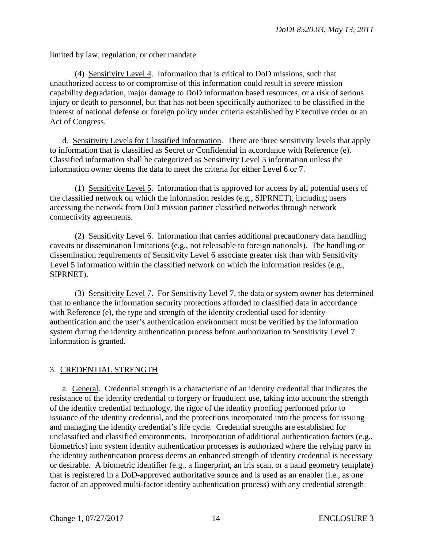limited by law, regulation, or other mandate.

 (4) Sensitivity Level 4. Information that is critical to DoD missions, such that unauthorized access to or compromise of this information could result in severe mission capability degradation, major damage to DoD information based resources, or a risk of serious injury or death to personnel, but that has not been specifically authorized to be classified in the interest of national defense or foreign policy under criteria established by Executive order or an Act of Congress.

 d. Sensitivity Levels for Classified Information. There are three sensitivity levels that apply to information that is classified as Secret or Confidential in accordance with Reference (e). Classified information shall be categorized as Sensitivity Level 5 information unless the information owner deems the data to meet the criteria for either Level 6 or 7.

 (1) Sensitivity Level 5. Information that is approved for access by all potential users of the classified network on which the information resides (e.g., SIPRNET), including users accessing the network from DoD mission partner classified networks through network connectivity agreements.

 (2) Sensitivity Level 6. Information that carries additional precautionary data handling caveats or dissemination limitations (e.g., not releasable to foreign nationals). The handling or dissemination requirements of Sensitivity Level 6 associate greater risk than with Sensitivity Level 5 information within the classified network on which the information resides (e.g., SIPRNET).

 (3) Sensitivity Level 7. For Sensitivity Level 7, the data or system owner has determined that to enhance the information security protections afforded to classified data in accordance with Reference (e), the type and strength of the identity credential used for identity authentication and the user's authentication environment must be verified by the information system during the identity authentication process before authorization to Sensitivity Level 7 information is granted.

## 3. CREDENTIAL STRENGTH

a. General. Credential strength is a characteristic of an identity credential that indicates the resistance of the identity credential to forgery or fraudulent use, taking into account the strength of the identity credential technology, the rigor of the identity proofing performed prior to issuance of the identity credential, and the protections incorporated into the process for issuing and managing the identity credential's life cycle. Credential strengths are established for unclassified and classified environments. Incorporation of additional authentication factors (e.g., biometrics) into system identity authentication processes is authorized where the relying party in the identity authentication process deems an enhanced strength of identity credential is necessary or desirable. A biometric identifier (e.g., a fingerprint, an iris scan, or a hand geometry template) that is registered in a DoD-approved authoritative source and is used as an enabler (i.e., as one factor of an approved multi-factor identity authentication process) with any credential strength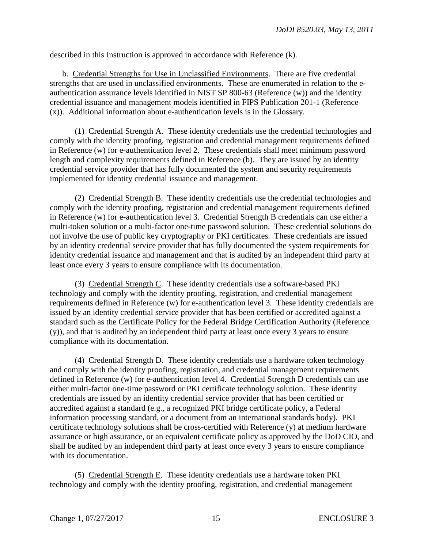described in this Instruction is approved in accordance with Reference (k).

 b. Credential Strengths for Use in Unclassified Environments. There are five credential strengths that are used in unclassified environments. These are enumerated in relation to the eauthentication assurance levels identified in NIST SP 800-63 (Reference (w)) and the identity credential issuance and management models identified in FIPS Publication 201-1 (Reference (x)). Additional information about e-authentication levels is in the Glossary.

 (1) Credential Strength A. These identity credentials use the credential technologies and comply with the identity proofing, registration and credential management requirements defined in Reference (w) for e-authentication level 2. These credentials shall meet minimum password length and complexity requirements defined in Reference (b). They are issued by an identity credential service provider that has fully documented the system and security requirements implemented for identity credential issuance and management.

 (2) Credential Strength B. These identity credentials use the credential technologies and comply with the identity proofing, registration and credential management requirements defined in Reference (w) for e-authentication level 3. Credential Strength B credentials can use either a multi-token solution or a multi-factor one-time password solution. These credential solutions do not involve the use of public key cryptography or PKI certificates. These credentials are issued by an identity credential service provider that has fully documented the system requirements for identity credential issuance and management and that is audited by an independent third party at least once every 3 years to ensure compliance with its documentation.

 (3) Credential Strength C. These identity credentials use a software-based PKI technology and comply with the identity proofing, registration, and credential management requirements defined in Reference (w) for e-authentication level 3. These identity credentials are issued by an identity credential service provider that has been certified or accredited against a standard such as the Certificate Policy for the Federal Bridge Certification Authority (Reference (y)), and that is audited by an independent third party at least once every 3 years to ensure compliance with its documentation.

 (4) Credential Strength D. These identity credentials use a hardware token technology and comply with the identity proofing, registration, and credential management requirements defined in Reference (w) for e-authentication level 4. Credential Strength D credentials can use either multi-factor one-time password or PKI certificate technology solution. These identity credentials are issued by an identity credential service provider that has been certified or accredited against a standard (e.g., a recognized PKI bridge certificate policy, a Federal information processing standard, or a document from an international standards body). PKI certificate technology solutions shall be cross-certified with Reference (y) at medium hardware assurance or high assurance, or an equivalent certificate policy as approved by the DoD CIO, and shall be audited by an independent third party at least once every 3 years to ensure compliance with its documentation.

 (5) Credential Strength E. These identity credentials use a hardware token PKI technology and comply with the identity proofing, registration, and credential management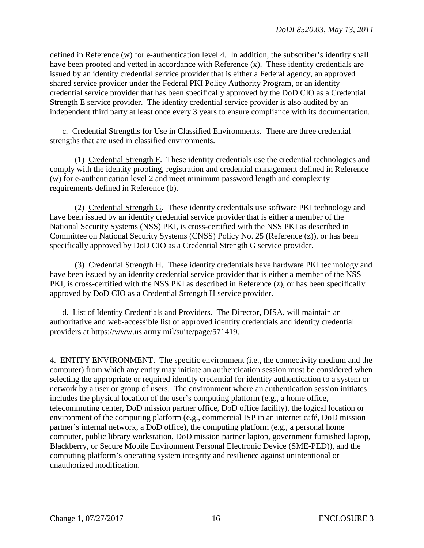defined in Reference (w) for e-authentication level 4. In addition, the subscriber's identity shall have been proofed and vetted in accordance with Reference (x). These identity credentials are issued by an identity credential service provider that is either a Federal agency, an approved shared service provider under the Federal PKI Policy Authority Program, or an identity credential service provider that has been specifically approved by the DoD CIO as a Credential Strength E service provider. The identity credential service provider is also audited by an independent third party at least once every 3 years to ensure compliance with its documentation.

c. Credential Strengths for Use in Classified Environments. There are three credential strengths that are used in classified environments.

 (1) Credential Strength F. These identity credentials use the credential technologies and comply with the identity proofing, registration and credential management defined in Reference (w) for e-authentication level 2 and meet minimum password length and complexity requirements defined in Reference (b).

 (2) Credential Strength G. These identity credentials use software PKI technology and have been issued by an identity credential service provider that is either a member of the National Security Systems (NSS) PKI, is cross-certified with the NSS PKI as described in Committee on National Security Systems (CNSS) Policy No. 25 (Reference (z)), or has been specifically approved by DoD CIO as a Credential Strength G service provider.

 (3) Credential Strength H. These identity credentials have hardware PKI technology and have been issued by an identity credential service provider that is either a member of the NSS PKI, is cross-certified with the NSS PKI as described in Reference (z), or has been specifically approved by DoD CIO as a Credential Strength H service provider.

 d. List of Identity Credentials and Providers. The Director, DISA, will maintain an authoritative and web-accessible list of approved identity credentials and identity credential providers at https://www.us.army.mil/suite/page/571419.

4. ENTITY ENVIRONMENT. The specific environment (i.e., the connectivity medium and the computer) from which any entity may initiate an authentication session must be considered when selecting the appropriate or required identity credential for identity authentication to a system or network by a user or group of users. The environment where an authentication session initiates includes the physical location of the user's computing platform (e.g., a home office, telecommuting center, DoD mission partner office, DoD office facility), the logical location or environment of the computing platform (e.g., commercial ISP in an internet café, DoD mission partner's internal network, a DoD office), the computing platform (e.g., a personal home computer, public library workstation, DoD mission partner laptop, government furnished laptop, Blackberry, or Secure Mobile Environment Personal Electronic Device (SME-PED)), and the computing platform's operating system integrity and resilience against unintentional or unauthorized modification.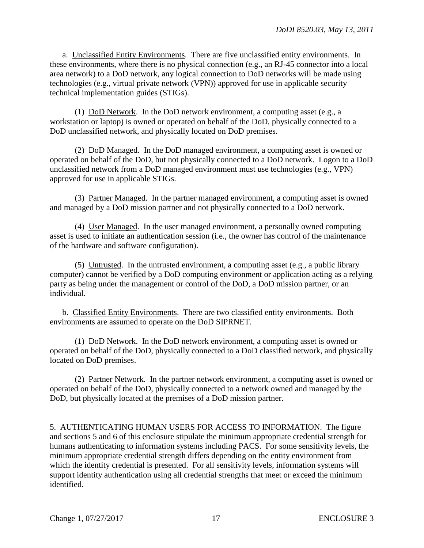a. Unclassified Entity Environments. There are five unclassified entity environments. In these environments, where there is no physical connection (e.g., an RJ-45 connector into a local area network) to a DoD network, any logical connection to DoD networks will be made using technologies (e.g., virtual private network (VPN)) approved for use in applicable security technical implementation guides (STIGs).

 (1) DoD Network. In the DoD network environment, a computing asset (e.g., a workstation or laptop) is owned or operated on behalf of the DoD, physically connected to a DoD unclassified network, and physically located on DoD premises.

 (2) DoD Managed. In the DoD managed environment, a computing asset is owned or operated on behalf of the DoD, but not physically connected to a DoD network. Logon to a DoD unclassified network from a DoD managed environment must use technologies (e.g., VPN) approved for use in applicable STIGs.

 (3) Partner Managed. In the partner managed environment, a computing asset is owned and managed by a DoD mission partner and not physically connected to a DoD network.

 (4) User Managed. In the user managed environment, a personally owned computing asset is used to initiate an authentication session (i.e., the owner has control of the maintenance of the hardware and software configuration).

 (5) Untrusted. In the untrusted environment, a computing asset (e.g., a public library computer) cannot be verified by a DoD computing environment or application acting as a relying party as being under the management or control of the DoD, a DoD mission partner, or an individual.

 b. Classified Entity Environments. There are two classified entity environments. Both environments are assumed to operate on the DoD SIPRNET.

 (1) DoD Network. In the DoD network environment, a computing asset is owned or operated on behalf of the DoD, physically connected to a DoD classified network, and physically located on DoD premises.

 (2) Partner Network. In the partner network environment, a computing asset is owned or operated on behalf of the DoD, physically connected to a network owned and managed by the DoD, but physically located at the premises of a DoD mission partner.

5. AUTHENTICATING HUMAN USERS FOR ACCESS TO INFORMATION. The figure and sections 5 and 6 of this enclosure stipulate the minimum appropriate credential strength for humans authenticating to information systems including PACS. For some sensitivity levels, the minimum appropriate credential strength differs depending on the entity environment from which the identity credential is presented. For all sensitivity levels, information systems will support identity authentication using all credential strengths that meet or exceed the minimum identified.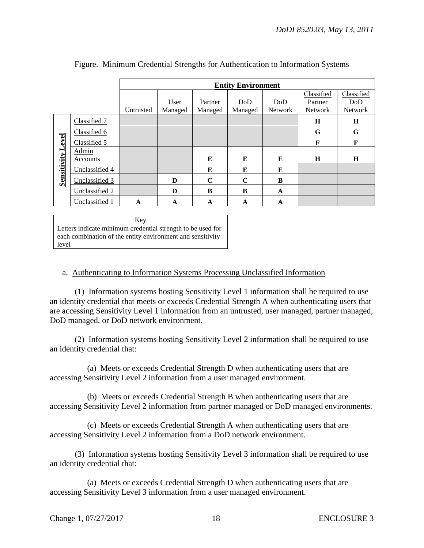|                          |                | <b>Entity Environment</b> |         |             |             |                |            |                |
|--------------------------|----------------|---------------------------|---------|-------------|-------------|----------------|------------|----------------|
|                          |                |                           |         |             |             |                | Classified | Classified     |
|                          |                |                           | User    | Partner     | DoD         | DoD            | Partner    | DoD            |
|                          |                | Untrusted                 | Managed | Managed     | Managed     | <b>Network</b> | Network    | <b>Network</b> |
| <b>Sensitivity Level</b> | Classified 7   |                           |         |             |             |                | $\bf H$    | H              |
|                          | Classified 6   |                           |         |             |             |                | G          | G              |
|                          | Classified 5   |                           |         |             |             |                | F          | F              |
|                          | Admin          |                           |         |             |             |                |            |                |
|                          | Accounts       |                           |         | E           | E           | E              | H          | $\bf H$        |
|                          | Unclassified 4 |                           |         | E           | E           | E              |            |                |
|                          | Unclassified 3 |                           | D       | $\mathbf C$ | $\mathbf C$ | B              |            |                |
|                          | Unclassified 2 |                           | D       | B           | B           | A              |            |                |
|                          | Unclassified 1 | A                         | A       | A           | A           | A              |            |                |

#### Figure. Minimum Credential Strengths for Authentication to Information Systems

Key Letters indicate minimum credential strength to be used for each combination of the entity environment and sensitivity level

#### a. Authenticating to Information Systems Processing Unclassified Information

 (1) Information systems hosting Sensitivity Level 1 information shall be required to use an identity credential that meets or exceeds Credential Strength A when authenticating users that are accessing Sensitivity Level 1 information from an untrusted, user managed, partner managed, DoD managed, or DoD network environment.

 (2) Information systems hosting Sensitivity Level 2 information shall be required to use an identity credential that:

 (a) Meets or exceeds Credential Strength D when authenticating users that are accessing Sensitivity Level 2 information from a user managed environment.

 (b) Meets or exceeds Credential Strength B when authenticating users that are accessing Sensitivity Level 2 information from partner managed or DoD managed environments.

 (c) Meets or exceeds Credential Strength A when authenticating users that are accessing Sensitivity Level 2 information from a DoD network environment.

 (3) Information systems hosting Sensitivity Level 3 information shall be required to use an identity credential that:

 (a) Meets or exceeds Credential Strength D when authenticating users that are accessing Sensitivity Level 3 information from a user managed environment.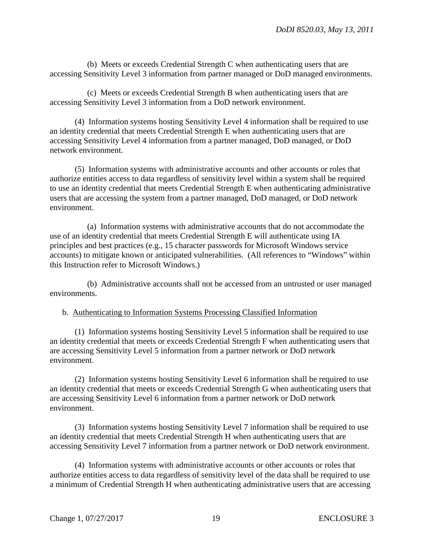(b) Meets or exceeds Credential Strength C when authenticating users that are accessing Sensitivity Level 3 information from partner managed or DoD managed environments.

 (c) Meets or exceeds Credential Strength B when authenticating users that are accessing Sensitivity Level 3 information from a DoD network environment.

 (4) Information systems hosting Sensitivity Level 4 information shall be required to use an identity credential that meets Credential Strength E when authenticating users that are accessing Sensitivity Level 4 information from a partner managed, DoD managed, or DoD network environment.

 (5) Information systems with administrative accounts and other accounts or roles that authorize entities access to data regardless of sensitivity level within a system shall be required to use an identity credential that meets Credential Strength E when authenticating administrative users that are accessing the system from a partner managed, DoD managed, or DoD network environment.

 (a) Information systems with administrative accounts that do not accommodate the use of an identity credential that meets Credential Strength E will authenticate using IA principles and best practices (e.g., 15 character passwords for Microsoft Windows service accounts) to mitigate known or anticipated vulnerabilities. (All references to "Windows" within this Instruction refer to Microsoft Windows.)

 (b) Administrative accounts shall not be accessed from an untrusted or user managed environments.

b. Authenticating to Information Systems Processing Classified Information

 (1) Information systems hosting Sensitivity Level 5 information shall be required to use an identity credential that meets or exceeds Credential Strength F when authenticating users that are accessing Sensitivity Level 5 information from a partner network or DoD network environment.

 (2) Information systems hosting Sensitivity Level 6 information shall be required to use an identity credential that meets or exceeds Credential Strength G when authenticating users that are accessing Sensitivity Level 6 information from a partner network or DoD network environment.

 (3) Information systems hosting Sensitivity Level 7 information shall be required to use an identity credential that meets Credential Strength H when authenticating users that are accessing Sensitivity Level 7 information from a partner network or DoD network environment.

 (4) Information systems with administrative accounts or other accounts or roles that authorize entities access to data regardless of sensitivity level of the data shall be required to use a minimum of Credential Strength H when authenticating administrative users that are accessing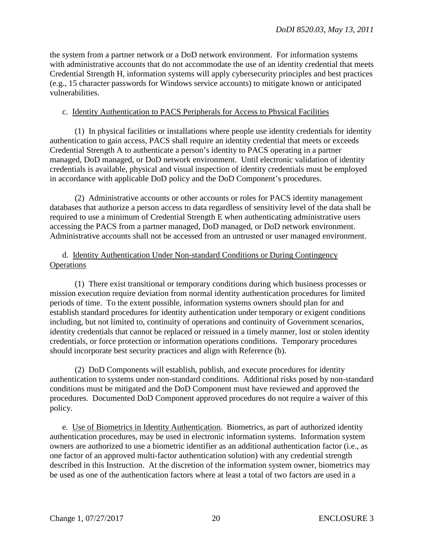the system from a partner network or a DoD network environment. For information systems with administrative accounts that do not accommodate the use of an identity credential that meets Credential Strength H, information systems will apply cybersecurity principles and best practices (e.g., 15 character passwords for Windows service accounts) to mitigate known or anticipated vulnerabilities.

#### c. Identity Authentication to PACS Peripherals for Access to Physical Facilities

 (1) In physical facilities or installations where people use identity credentials for identity authentication to gain access, PACS shall require an identity credential that meets or exceeds Credential Strength A to authenticate a person's identity to PACS operating in a partner managed, DoD managed, or DoD network environment. Until electronic validation of identity credentials is available, physical and visual inspection of identity credentials must be employed in accordance with applicable DoD policy and the DoD Component's procedures.

 (2) Administrative accounts or other accounts or roles for PACS identity management databases that authorize a person access to data regardless of sensitivity level of the data shall be required to use a minimum of Credential Strength E when authenticating administrative users accessing the PACS from a partner managed, DoD managed, or DoD network environment. Administrative accounts shall not be accessed from an untrusted or user managed environment.

## d. Identity Authentication Under Non-standard Conditions or During Contingency **Operations**

 (1) There exist transitional or temporary conditions during which business processes or mission execution require deviation from normal identity authentication procedures for limited periods of time. To the extent possible, information systems owners should plan for and establish standard procedures for identity authentication under temporary or exigent conditions including, but not limited to, continuity of operations and continuity of Government scenarios, identity credentials that cannot be replaced or reissued in a timely manner, lost or stolen identity credentials, or force protection or information operations conditions. Temporary procedures should incorporate best security practices and align with Reference (b).

 (2) DoD Components will establish, publish, and execute procedures for identity authentication to systems under non-standard conditions. Additional risks posed by non-standard conditions must be mitigated and the DoD Component must have reviewed and approved the procedures. Documented DoD Component approved procedures do not require a waiver of this policy.

 e. Use of Biometrics in Identity Authentication. Biometrics, as part of authorized identity authentication procedures, may be used in electronic information systems. Information system owners are authorized to use a biometric identifier as an additional authentication factor (i.e., as one factor of an approved multi-factor authentication solution) with any credential strength described in this Instruction. At the discretion of the information system owner, biometrics may be used as one of the authentication factors where at least a total of two factors are used in a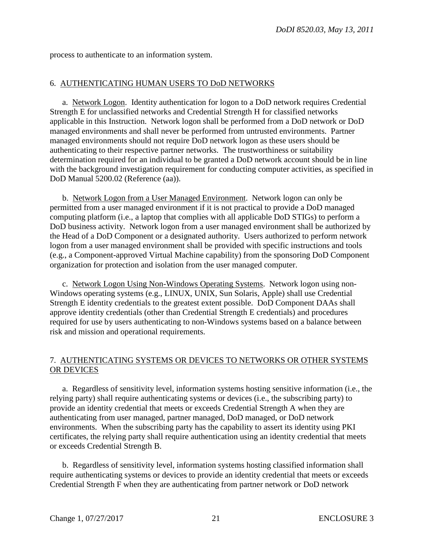process to authenticate to an information system.

## 6. AUTHENTICATING HUMAN USERS TO DoD NETWORKS

 a. Network Logon. Identity authentication for logon to a DoD network requires Credential Strength E for unclassified networks and Credential Strength H for classified networks applicable in this Instruction. Network logon shall be performed from a DoD network or DoD managed environments and shall never be performed from untrusted environments. Partner managed environments should not require DoD network logon as these users should be authenticating to their respective partner networks. The trustworthiness or suitability determination required for an individual to be granted a DoD network account should be in line with the background investigation requirement for conducting computer activities, as specified in DoD Manual 5200.02 (Reference (aa)).

 b. Network Logon from a User Managed Environment. Network logon can only be permitted from a user managed environment if it is not practical to provide a DoD managed computing platform (i.e., a laptop that complies with all applicable DoD STIGs) to perform a DoD business activity. Network logon from a user managed environment shall be authorized by the Head of a DoD Component or a designated authority. Users authorized to perform network logon from a user managed environment shall be provided with specific instructions and tools (e.g., a Component-approved Virtual Machine capability) from the sponsoring DoD Component organization for protection and isolation from the user managed computer.

 c. Network Logon Using Non-Windows Operating Systems. Network logon using non-Windows operating systems (e.g., LINUX, UNIX, Sun Solaris, Apple) shall use Credential Strength E identity credentials to the greatest extent possible. DoD Component DAAs shall approve identity credentials (other than Credential Strength E credentials) and procedures required for use by users authenticating to non-Windows systems based on a balance between risk and mission and operational requirements.

# 7. AUTHENTICATING SYSTEMS OR DEVICES TO NETWORKS OR OTHER SYSTEMS OR DEVICES

 a. Regardless of sensitivity level, information systems hosting sensitive information (i.e., the relying party) shall require authenticating systems or devices (i.e., the subscribing party) to provide an identity credential that meets or exceeds Credential Strength A when they are authenticating from user managed, partner managed, DoD managed, or DoD network environments. When the subscribing party has the capability to assert its identity using PKI certificates, the relying party shall require authentication using an identity credential that meets or exceeds Credential Strength B.

 b. Regardless of sensitivity level, information systems hosting classified information shall require authenticating systems or devices to provide an identity credential that meets or exceeds Credential Strength F when they are authenticating from partner network or DoD network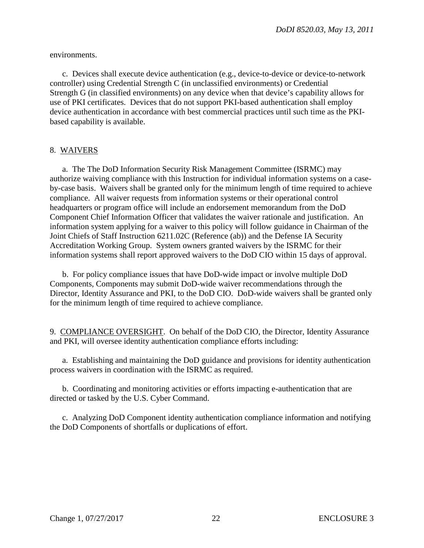environments.

 c. Devices shall execute device authentication (e.g., device-to-device or device-to-network controller) using Credential Strength C (in unclassified environments) or Credential Strength G (in classified environments) on any device when that device's capability allows for use of PKI certificates. Devices that do not support PKI-based authentication shall employ device authentication in accordance with best commercial practices until such time as the PKIbased capability is available.

## 8. WAIVERS

 a. The The DoD Information Security Risk Management Committee (ISRMC) may authorize waiving compliance with this Instruction for individual information systems on a caseby-case basis. Waivers shall be granted only for the minimum length of time required to achieve compliance. All waiver requests from information systems or their operational control headquarters or program office will include an endorsement memorandum from the DoD Component Chief Information Officer that validates the waiver rationale and justification. An information system applying for a waiver to this policy will follow guidance in Chairman of the Joint Chiefs of Staff Instruction 6211.02C (Reference (ab)) and the Defense IA Security Accreditation Working Group. System owners granted waivers by the ISRMC for their information systems shall report approved waivers to the DoD CIO within 15 days of approval.

 b. For policy compliance issues that have DoD-wide impact or involve multiple DoD Components, Components may submit DoD-wide waiver recommendations through the Director, Identity Assurance and PKI, to the DoD CIO. DoD-wide waivers shall be granted only for the minimum length of time required to achieve compliance.

9. COMPLIANCE OVERSIGHT. On behalf of the DoD CIO, the Director, Identity Assurance and PKI, will oversee identity authentication compliance efforts including:

a. Establishing and maintaining the DoD guidance and provisions for identity authentication process waivers in coordination with the ISRMC as required.

 b. Coordinating and monitoring activities or efforts impacting e-authentication that are directed or tasked by the U.S. Cyber Command.

c. Analyzing DoD Component identity authentication compliance information and notifying the DoD Components of shortfalls or duplications of effort.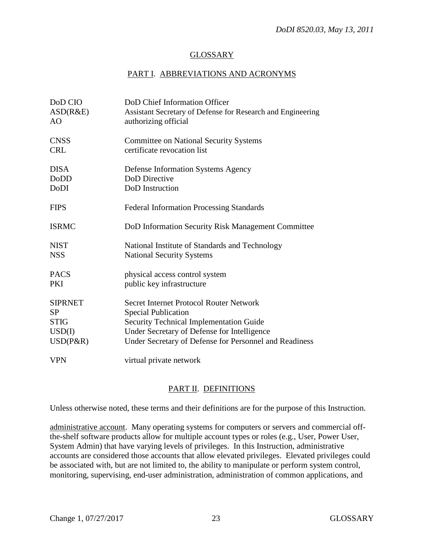## GLOSSARY

# PART I. ABBREVIATIONS AND ACRONYMS

| DoD CIO        | DoD Chief Information Officer                                                       |
|----------------|-------------------------------------------------------------------------------------|
| ASD(R&E)<br>AO | Assistant Secretary of Defense for Research and Engineering<br>authorizing official |
|                |                                                                                     |
| <b>CNSS</b>    | <b>Committee on National Security Systems</b>                                       |
| <b>CRL</b>     | certificate revocation list                                                         |
| <b>DISA</b>    | <b>Defense Information Systems Agency</b>                                           |
| <b>DoDD</b>    | DoD Directive                                                                       |
| DoDI           | DoD Instruction                                                                     |
| <b>FIPS</b>    | <b>Federal Information Processing Standards</b>                                     |
| <b>ISRMC</b>   | DoD Information Security Risk Management Committee                                  |
| <b>NIST</b>    | National Institute of Standards and Technology                                      |
| <b>NSS</b>     | <b>National Security Systems</b>                                                    |
| <b>PACS</b>    | physical access control system                                                      |
| <b>PKI</b>     | public key infrastructure                                                           |
| <b>SIPRNET</b> | Secret Internet Protocol Router Network                                             |
| <b>SP</b>      | <b>Special Publication</b>                                                          |
| <b>STIG</b>    | Security Technical Implementation Guide                                             |
| USD(I)         | Under Secretary of Defense for Intelligence                                         |
| $USD(P\&R)$    | Under Secretary of Defense for Personnel and Readiness                              |
| <b>VPN</b>     | virtual private network                                                             |

## PART II. DEFINITIONS

Unless otherwise noted, these terms and their definitions are for the purpose of this Instruction.

administrative account. Many operating systems for computers or servers and commercial offthe-shelf software products allow for multiple account types or roles (e.g., User, Power User, System Admin) that have varying levels of privileges. In this Instruction, administrative accounts are considered those accounts that allow elevated privileges. Elevated privileges could be associated with, but are not limited to, the ability to manipulate or perform system control, monitoring, supervising, end-user administration, administration of common applications, and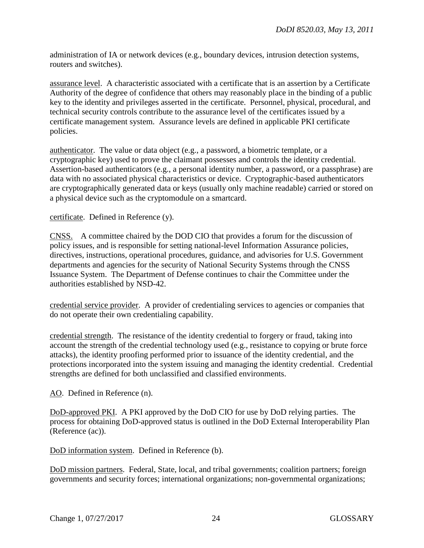administration of IA or network devices (e.g., boundary devices, intrusion detection systems, routers and switches).

assurance level. A characteristic associated with a certificate that is an assertion by a Certificate Authority of the degree of confidence that others may reasonably place in the binding of a public key to the identity and privileges asserted in the certificate. Personnel, physical, procedural, and technical security controls contribute to the assurance level of the certificates issued by a certificate management system. Assurance levels are defined in applicable PKI certificate policies.

authenticator. The value or data object (e.g., a password, a biometric template, or a cryptographic key) used to prove the claimant possesses and controls the identity credential. Assertion-based authenticators (e.g., a personal identity number, a password, or a passphrase) are data with no associated physical characteristics or device. Cryptographic-based authenticators are cryptographically generated data or keys (usually only machine readable) carried or stored on a physical device such as the cryptomodule on a smartcard.

certificate. Defined in Reference (y).

CNSS. A committee chaired by the DOD CIO that provides a forum for the discussion of policy issues, and is responsible for setting national-level Information Assurance policies, directives, instructions, operational procedures, guidance, and advisories for U.S. Government departments and agencies for the security of National Security Systems through the CNSS Issuance System. The Department of Defense continues to chair the Committee under the authorities established by NSD-42.

credential service provider. A provider of credentialing services to agencies or companies that do not operate their own credentialing capability.

credential strength. The resistance of the identity credential to forgery or fraud, taking into account the strength of the credential technology used (e.g., resistance to copying or brute force attacks), the identity proofing performed prior to issuance of the identity credential, and the protections incorporated into the system issuing and managing the identity credential. Credential strengths are defined for both unclassified and classified environments.

AO. Defined in Reference (n).

DoD-approved PKI. A PKI approved by the DoD CIO for use by DoD relying parties. The process for obtaining DoD-approved status is outlined in the DoD External Interoperability Plan (Reference (ac)).

DoD information system. Defined in Reference (b).

DoD mission partners. Federal, State, local, and tribal governments; coalition partners; foreign governments and security forces; international organizations; non-governmental organizations;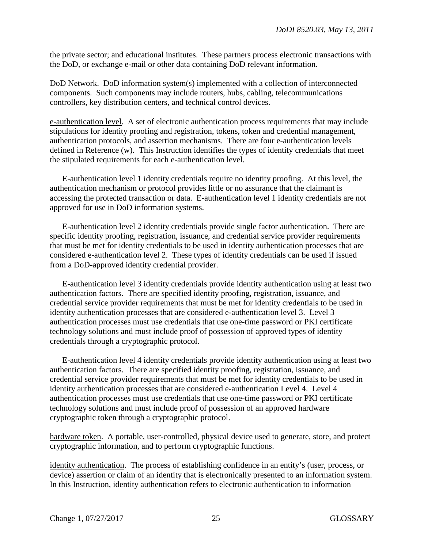the private sector; and educational institutes. These partners process electronic transactions with the DoD, or exchange e-mail or other data containing DoD relevant information.

DoD Network. DoD information system(s) implemented with a collection of interconnected components. Such components may include routers, hubs, cabling, telecommunications controllers, key distribution centers, and technical control devices.

e-authentication level. A set of electronic authentication process requirements that may include stipulations for identity proofing and registration, tokens, token and credential management, authentication protocols, and assertion mechanisms. There are four e-authentication levels defined in Reference (w). This Instruction identifies the types of identity credentials that meet the stipulated requirements for each e-authentication level.

 E-authentication level 1 identity credentials require no identity proofing. At this level, the authentication mechanism or protocol provides little or no assurance that the claimant is accessing the protected transaction or data. E-authentication level 1 identity credentials are not approved for use in DoD information systems.

 E-authentication level 2 identity credentials provide single factor authentication. There are specific identity proofing, registration, issuance, and credential service provider requirements that must be met for identity credentials to be used in identity authentication processes that are considered e-authentication level 2. These types of identity credentials can be used if issued from a DoD-approved identity credential provider.

 E-authentication level 3 identity credentials provide identity authentication using at least two authentication factors. There are specified identity proofing, registration, issuance, and credential service provider requirements that must be met for identity credentials to be used in identity authentication processes that are considered e-authentication level 3. Level 3 authentication processes must use credentials that use one-time password or PKI certificate technology solutions and must include proof of possession of approved types of identity credentials through a cryptographic protocol.

 E-authentication level 4 identity credentials provide identity authentication using at least two authentication factors. There are specified identity proofing, registration, issuance, and credential service provider requirements that must be met for identity credentials to be used in identity authentication processes that are considered e-authentication Level 4. Level 4 authentication processes must use credentials that use one-time password or PKI certificate technology solutions and must include proof of possession of an approved hardware cryptographic token through a cryptographic protocol.

hardware token. A portable, user-controlled, physical device used to generate, store, and protect cryptographic information, and to perform cryptographic functions.

identity authentication. The process of establishing confidence in an entity's (user, process, or device) assertion or claim of an identity that is electronically presented to an information system. In this Instruction, identity authentication refers to electronic authentication to information